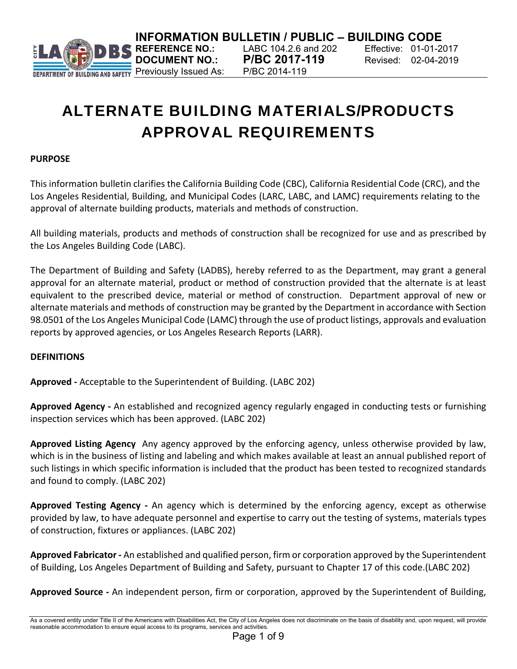

**INFORMATION BULLETIN / PUBLIC – BUILDING CODE**<br>**R**S REFERENCE NO.: LABC 104.2.6 and 202 Effective: 01-01-20

**DOCUMENT NO.: P/BC 2017-119** Revised: 02-04-2019

**REFERENCE NO.:** LABC 104.2.6 and 202 Effective: 01-01-2017

# ALTERNATE BUILDING MATERIALS/PRODUCTS APPROVAL REQUIREMENTS

#### **PURPOSE**

This information bulletin clarifies the California Building Code (CBC), California Residential Code (CRC), and the Los Angeles Residential, Building, and Municipal Codes (LARC, LABC, and LAMC) requirements relating to the approval of alternate building products, materials and methods of construction.

All building materials, products and methods of construction shall be recognized for use and as prescribed by the Los Angeles Building Code (LABC).

The Department of Building and Safety (LADBS), hereby referred to as the Department, may grant a general approval for an alternate material, product or method of construction provided that the alternate is at least equivalent to the prescribed device, material or method of construction. Department approval of new or alternate materials and methods of construction may be granted by the Department in accordance with Section 98.0501 of the Los Angeles Municipal Code (LAMC) through the use of product listings, approvals and evaluation reports by approved agencies, or Los Angeles Research Reports (LARR).

#### **DEFINITIONS**

**Approved ‐** Acceptable to the Superintendent of Building. (LABC 202)

**Approved Agency ‐** An established and recognized agency regularly engaged in conducting tests or furnishing inspection services which has been approved. (LABC 202)

**Approved Listing Agency** Any agency approved by the enforcing agency, unless otherwise provided by law, which is in the business of listing and labeling and which makes available at least an annual published report of such listings in which specific information is included that the product has been tested to recognized standards and found to comply. (LABC 202)

**Approved Testing Agency -** An agency which is determined by the enforcing agency, except as otherwise provided by law, to have adequate personnel and expertise to carry out the testing of systems, materials types of construction, fixtures or appliances. (LABC 202)

**Approved Fabricator ‐** An established and qualified person, firm or corporation approved by the Superintendent of Building, Los Angeles Department of Building and Safety, pursuant to Chapter 17 of this code.(LABC 202)

**Approved Source ‐** An independent person, firm or corporation, approved by the Superintendent of Building,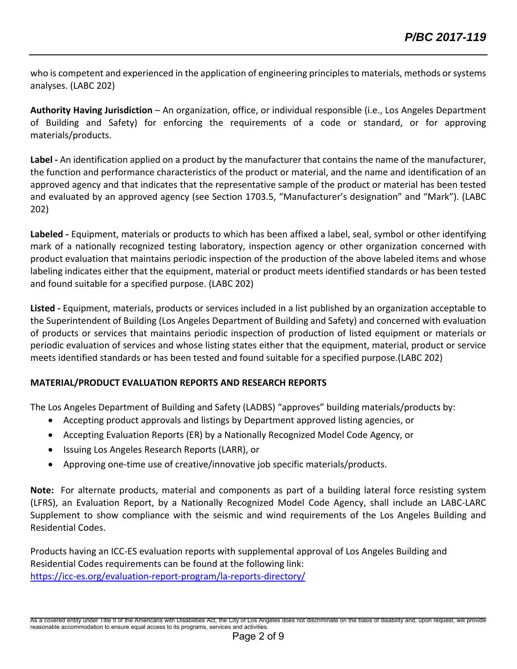who is competent and experienced in the application of engineering principles to materials, methods or systems analyses. (LABC 202)

**Authority Having Jurisdiction** – An organization, office, or individual responsible (i.e., Los Angeles Department of Building and Safety) for enforcing the requirements of a code or standard, or for approving materials/products.

**Label ‐** An identification applied on a product by the manufacturer that contains the name of the manufacturer, the function and performance characteristics of the product or material, and the name and identification of an approved agency and that indicates that the representative sample of the product or material has been tested and evaluated by an approved agency (see Section 1703.5, "Manufacturer's designation" and "Mark"). (LABC 202)

**Labeled ‐** Equipment, materials or products to which has been affixed a label, seal, symbol or other identifying mark of a nationally recognized testing laboratory, inspection agency or other organization concerned with product evaluation that maintains periodic inspection of the production of the above labeled items and whose labeling indicates either that the equipment, material or product meets identified standards or has been tested and found suitable for a specified purpose. (LABC 202)

**Listed ‐** Equipment, materials, products or services included in a list published by an organization acceptable to the Superintendent of Building (Los Angeles Department of Building and Safety) and concerned with evaluation of products or services that maintains periodic inspection of production of listed equipment or materials or periodic evaluation of services and whose listing states either that the equipment, material, product or service meets identified standards or has been tested and found suitable for a specified purpose.(LABC 202)

# **MATERIAL/PRODUCT EVALUATION REPORTS AND RESEARCH REPORTS**

The Los Angeles Department of Building and Safety (LADBS) "approves" building materials/products by:

- Accepting product approvals and listings by Department approved listing agencies, or
- Accepting Evaluation Reports (ER) by a Nationally Recognized Model Code Agency, or
- Issuing Los Angeles Research Reports (LARR), or
- Approving one‐time use of creative/innovative job specific materials/products.

**Note:** For alternate products, material and components as part of a building lateral force resisting system (LFRS), an Evaluation Report, by a Nationally Recognized Model Code Agency, shall include an LABC‐LARC Supplement to show compliance with the seismic and wind requirements of the Los Angeles Building and Residential Codes.

Products having an ICC‐ES evaluation reports with supplemental approval of Los Angeles Building and Residential Codes requirements can be found at the following link: https://icc-es.org/evaluation-report-program/la-reports-directory/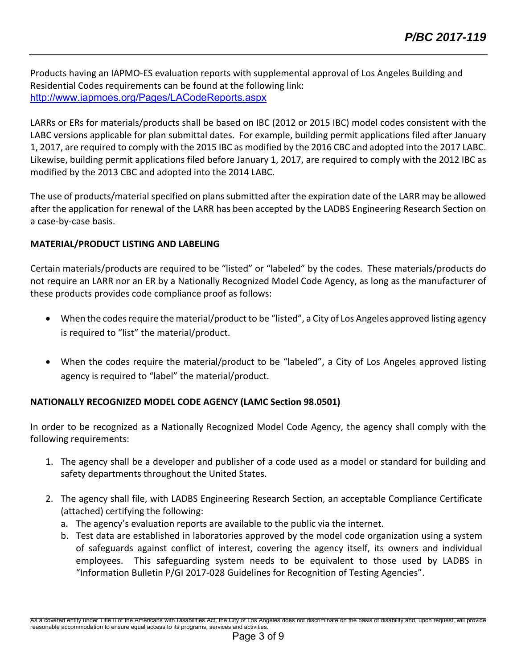Products having an IAPMO‐ES evaluation reports with supplemental approval of Los Angeles Building and Residential Codes requirements can be found at the following link: http://www.iapmoes.org/Pages/LACodeReports.aspx

LARRs or ERs for materials/products shall be based on IBC (2012 or 2015 IBC) model codes consistent with the LABC versions applicable for plan submittal dates. For example, building permit applications filed after January 1, 2017, are required to comply with the 2015 IBC as modified by the 2016 CBC and adopted into the 2017 LABC. Likewise, building permit applications filed before January 1, 2017, are required to comply with the 2012 IBC as modified by the 2013 CBC and adopted into the 2014 LABC.

The use of products/material specified on plans submitted after the expiration date of the LARR may be allowed after the application for renewal of the LARR has been accepted by the LADBS Engineering Research Section on a case‐by‐case basis.

# **MATERIAL/PRODUCT LISTING AND LABELING**

Certain materials/products are required to be "listed" or "labeled" by the codes. These materials/products do not require an LARR nor an ER by a Nationally Recognized Model Code Agency, as long as the manufacturer of these products provides code compliance proof as follows:

- When the codes require the material/product to be "listed", a City of Los Angeles approved listing agency is required to "list" the material/product.
- When the codes require the material/product to be "labeled", a City of Los Angeles approved listing agency is required to "label" the material/product.

# **NATIONALLY RECOGNIZED MODEL CODE AGENCY (LAMC Section 98.0501)**

In order to be recognized as a Nationally Recognized Model Code Agency, the agency shall comply with the following requirements:

- 1. The agency shall be a developer and publisher of a code used as a model or standard for building and safety departments throughout the United States.
- 2. The agency shall file, with LADBS Engineering Research Section, an acceptable Compliance Certificate (attached) certifying the following:
	- a. The agency's evaluation reports are available to the public via the internet.
	- b. Test data are established in laboratories approved by the model code organization using a system of safeguards against conflict of interest, covering the agency itself, its owners and individual employees. This safeguarding system needs to be equivalent to those used by LADBS in "Information Bulletin P/GI 2017‐028 Guidelines for Recognition of Testing Agencies".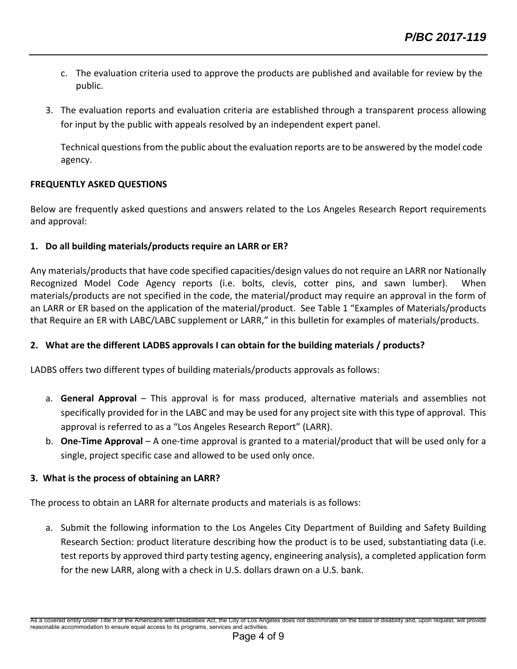- c. The evaluation criteria used to approve the products are published and available for review by the public.
- 3. The evaluation reports and evaluation criteria are established through a transparent process allowing for input by the public with appeals resolved by an independent expert panel.

Technical questions from the public about the evaluation reports are to be answered by the model code agency.

#### **FREQUENTLY ASKED QUESTIONS**

Below are frequently asked questions and answers related to the Los Angeles Research Report requirements and approval:

# **1. Do all building materials/products require an LARR or ER?**

Any materials/products that have code specified capacities/design values do not require an LARR nor Nationally Recognized Model Code Agency reports (i.e. bolts, clevis, cotter pins, and sawn lumber). When materials/products are not specified in the code, the material/product may require an approval in the form of an LARR or ER based on the application of the material/product. See Table 1 "Examples of Materials/products that Require an ER with LABC/LABC supplement or LARR," in this bulletin for examples of materials/products.

# **2. What are the different LADBS approvals I can obtain for the building materials / products?**

LADBS offers two different types of building materials/products approvals as follows:

- a. **General Approval** – This approval is for mass produced, alternative materials and assemblies not specifically provided for in the LABC and may be used for any project site with this type of approval. This approval is referred to as a "Los Angeles Research Report" (LARR).
- b. **One-Time Approval** A one-time approval is granted to a material/product that will be used only for a single, project specific case and allowed to be used only once.

# **3. What is the process of obtaining an LARR?**

The process to obtain an LARR for alternate products and materials is as follows:

a. Submit the following information to the Los Angeles City Department of Building and Safety Building Research Section: product literature describing how the product is to be used, substantiating data (i.e. test reports by approved third party testing agency, engineering analysis), a completed application form for the new LARR, along with a check in U.S. dollars drawn on a U.S. bank.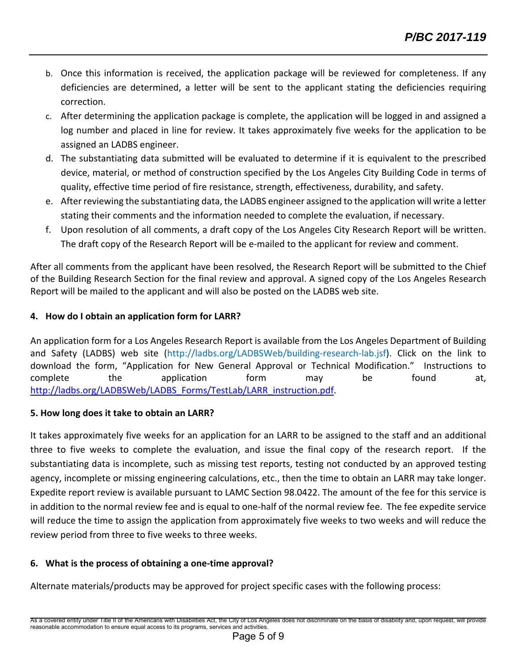- b. Once this information is received, the application package will be reviewed for completeness. If any deficiencies are determined, a letter will be sent to the applicant stating the deficiencies requiring correction.
- c. After determining the application package is complete, the application will be logged in and assigned a log number and placed in line for review. It takes approximately five weeks for the application to be assigned an LADBS engineer.
- d. The substantiating data submitted will be evaluated to determine if it is equivalent to the prescribed device, material, or method of construction specified by the Los Angeles City Building Code in terms of quality, effective time period of fire resistance, strength, effectiveness, durability, and safety.
- e. After reviewing the substantiating data, the LADBS engineer assigned to the application will write a letter stating their comments and the information needed to complete the evaluation, if necessary.
- f. Upon resolution of all comments, a draft copy of the Los Angeles City Research Report will be written. The draft copy of the Research Report will be e-mailed to the applicant for review and comment.

After all comments from the applicant have been resolved, the Research Report will be submitted to the Chief of the Building Research Section for the final review and approval. A signed copy of the Los Angeles Research Report will be mailed to the applicant and will also be posted on the LADBS web site.

# **4. How do I obtain an application form for LARR?**

An application form for a Los Angeles Research Report is available from the Los Angeles Department of Building and Safety (LADBS) web site (http://ladbs.org/LADBSWeb/building-research-lab.jsf). Click on the link to download the form, "Application for New General Approval or Technical Modification." Instructions to complete the application form may be found at, http://ladbs.org/LADBSWeb/LADBS\_Forms/TestLab/LARR\_instruction.pdf.

# **5. How long does it take to obtain an LARR?**

It takes approximately five weeks for an application for an LARR to be assigned to the staff and an additional three to five weeks to complete the evaluation, and issue the final copy of the research report. If the substantiating data is incomplete, such as missing test reports, testing not conducted by an approved testing agency, incomplete or missing engineering calculations, etc., then the time to obtain an LARR may take longer. Expedite report review is available pursuant to LAMC Section 98.0422. The amount of the fee for this service is in addition to the normal review fee and is equal to one-half of the normal review fee. The fee expedite service will reduce the time to assign the application from approximately five weeks to two weeks and will reduce the review period from three to five weeks to three weeks.

# **6. What is the process of obtaining a one‐time approval?**

Alternate materials/products may be approved for project specific cases with the following process: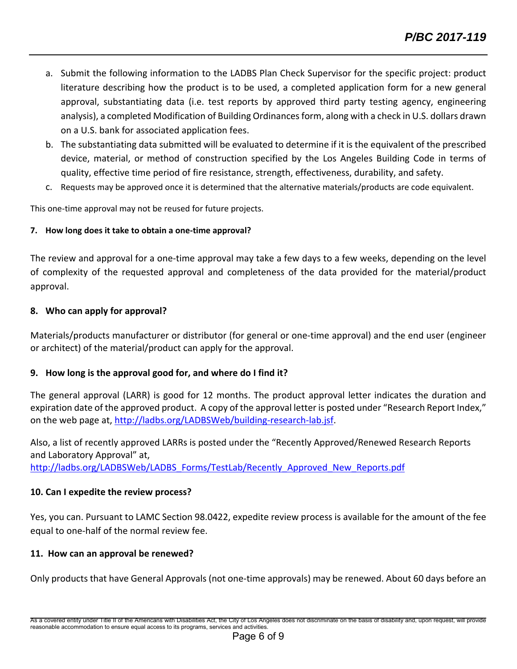- a. Submit the following information to the LADBS Plan Check Supervisor for the specific project: product literature describing how the product is to be used, a completed application form for a new general approval, substantiating data (i.e. test reports by approved third party testing agency, engineering analysis), a completed Modification of Building Ordinances form, along with a check in U.S. dollars drawn on a U.S. bank for associated application fees.
- b. The substantiating data submitted will be evaluated to determine if it is the equivalent of the prescribed device, material, or method of construction specified by the Los Angeles Building Code in terms of quality, effective time period of fire resistance, strength, effectiveness, durability, and safety.
- c. Requests may be approved once it is determined that the alternative materials/products are code equivalent.

This one-time approval may not be reused for future projects.

# **7. How long does it take to obtain a one‐time approval?**

The review and approval for a one‐time approval may take a few days to a few weeks, depending on the level of complexity of the requested approval and completeness of the data provided for the material/product approval.

# **8. Who can apply for approval?**

Materials/products manufacturer or distributor (for general or one‐time approval) and the end user (engineer or architect) of the material/product can apply for the approval.

# **9. How long is the approval good for, and where do I find it?**

The general approval (LARR) is good for 12 months. The product approval letter indicates the duration and expiration date of the approved product. A copy of the approval letter is posted under "Research Report Index," on the web page at, http://ladbs.org/LADBSWeb/building‐research‐lab.jsf.

Also, a list of recently approved LARRs is posted under the "Recently Approved/Renewed Research Reports and Laboratory Approval" at, http://ladbs.org/LADBSWeb/LADBS\_Forms/TestLab/Recently\_Approved\_New\_Reports.pdf

# **10. Can I expedite the review process?**

Yes, you can. Pursuant to LAMC Section 98.0422, expedite review process is available for the amount of the fee equal to one‐half of the normal review fee.

# **11. How can an approval be renewed?**

Only products that have General Approvals (not one‐time approvals) may be renewed. About 60 days before an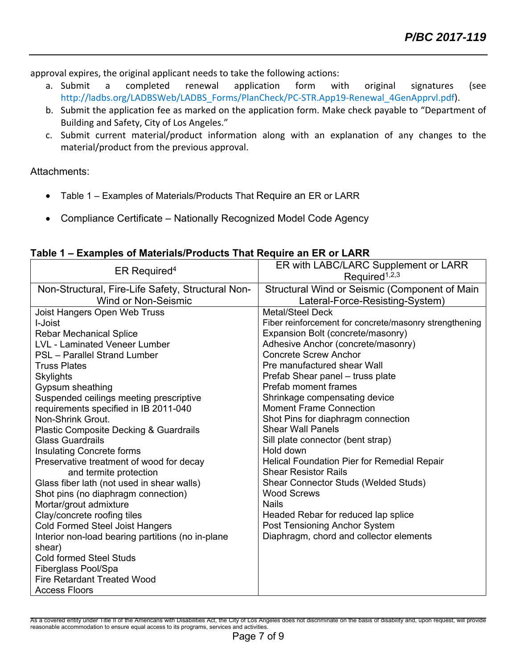approval expires, the original applicant needs to take the following actions:

- a. Submit a completed renewal application form with original signatures (see http://ladbs.org/LADBSWeb/LADBS\_Forms/PlanCheck/PC-STR.App19-Renewal\_4GenApprvl.pdf).
- b. Submit the application fee as marked on the application form. Make check payable to "Department of Building and Safety, City of Los Angeles."
- c. Submit current material/product information along with an explanation of any changes to the material/product from the previous approval.

Attachments:

- Table 1 Examples of Materials/Products That Require an ER or LARR
- Compliance Certificate Nationally Recognized Model Code Agency

|  | Table 1 – Examples of Materials/Products That Require an ER or LARR |
|--|---------------------------------------------------------------------|
|  |                                                                     |

| ER Required <sup>4</sup>                                    | ER with LABC/LARC Supplement or LARR<br>Required <sup>1,2,3</sup> |
|-------------------------------------------------------------|-------------------------------------------------------------------|
| Non-Structural, Fire-Life Safety, Structural Non-           | Structural Wind or Seismic (Component of Main                     |
| <b>Wind or Non-Seismic</b>                                  | Lateral-Force-Resisting-System)                                   |
| Joist Hangers Open Web Truss                                | <b>Metal/Steel Deck</b>                                           |
| I-Joist                                                     | Fiber reinforcement for concrete/masonry strengthening            |
| <b>Rebar Mechanical Splice</b>                              | Expansion Bolt (concrete/masonry)                                 |
| <b>LVL - Laminated Veneer Lumber</b>                        | Adhesive Anchor (concrete/masonry)                                |
| PSL - Parallel Strand Lumber                                | <b>Concrete Screw Anchor</b>                                      |
| <b>Truss Plates</b>                                         | Pre manufactured shear Wall                                       |
| Skylights                                                   | Prefab Shear panel - truss plate                                  |
| Gypsum sheathing                                            | <b>Prefab moment frames</b>                                       |
| Suspended ceilings meeting prescriptive                     | Shrinkage compensating device                                     |
| requirements specified in IB 2011-040                       | <b>Moment Frame Connection</b>                                    |
| Non-Shrink Grout.                                           | Shot Pins for diaphragm connection                                |
| <b>Plastic Composite Decking &amp; Guardrails</b>           | <b>Shear Wall Panels</b>                                          |
| <b>Glass Guardrails</b>                                     | Sill plate connector (bent strap)                                 |
| <b>Insulating Concrete forms</b>                            | Hold down                                                         |
| Preservative treatment of wood for decay                    | <b>Helical Foundation Pier for Remedial Repair</b>                |
| and termite protection                                      | <b>Shear Resistor Rails</b>                                       |
| Glass fiber lath (not used in shear walls)                  | <b>Shear Connector Studs (Welded Studs)</b>                       |
| Shot pins (no diaphragm connection)                         | <b>Wood Screws</b>                                                |
| Mortar/grout admixture                                      | <b>Nails</b>                                                      |
| Clay/concrete roofing tiles                                 | Headed Rebar for reduced lap splice                               |
| <b>Cold Formed Steel Joist Hangers</b>                      | Post Tensioning Anchor System                                     |
| Interior non-load bearing partitions (no in-plane<br>shear) | Diaphragm, chord and collector elements                           |
| <b>Cold formed Steel Studs</b>                              |                                                                   |
| Fiberglass Pool/Spa                                         |                                                                   |
| <b>Fire Retardant Treated Wood</b>                          |                                                                   |
| <b>Access Floors</b>                                        |                                                                   |

As a covered entity under Title II of the Americans with Disabilities Act, the City of Los Angeles does not discriminate on the basis of disability and, upon request, will provide reasonable accommodation to ensure equal access to its programs, services and activities.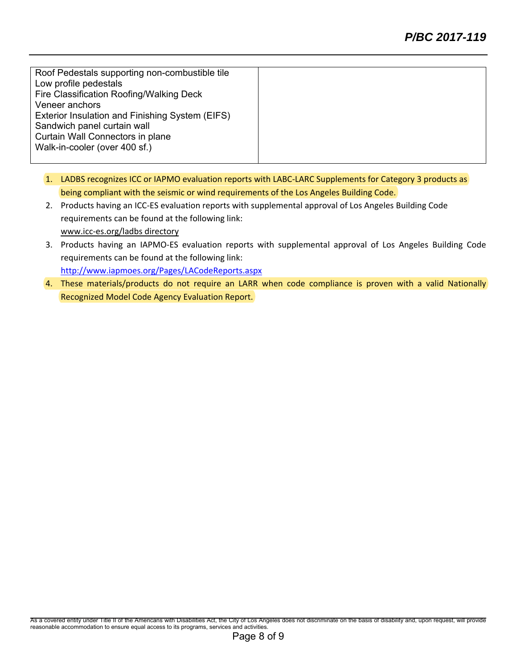Roof Pedestals supporting non-combustible tile Low profile pedestals Fire Classification Roofing/Walking Deck Veneer anchors Exterior Insulation and Finishing System (EIFS) Sandwich panel curtain wall Curtain Wall Connectors in plane Walk-in-cooler (over 400 sf.)

- 1. LADBS recognizes ICC or IAPMO evaluation reports with LABC‐LARC Supplements for Category 3 products as being compliant with the seismic or wind requirements of the Los Angeles Building Code.
- 2. Products having an ICC‐ES evaluation reports with supplemental approval of Los Angeles Building Code requirements can be found at the following link: www.icc‐es.org/ladbs directory
- 3. Products having an IAPMO‐ES evaluation reports with supplemental approval of Los Angeles Building Code requirements can be found at the following link: http://www.iapmoes.org/Pages/LACodeReports.aspx
- 4. These materials/products do not require an LARR when code compliance is proven with a valid Nationally Recognized Model Code Agency Evaluation Report.